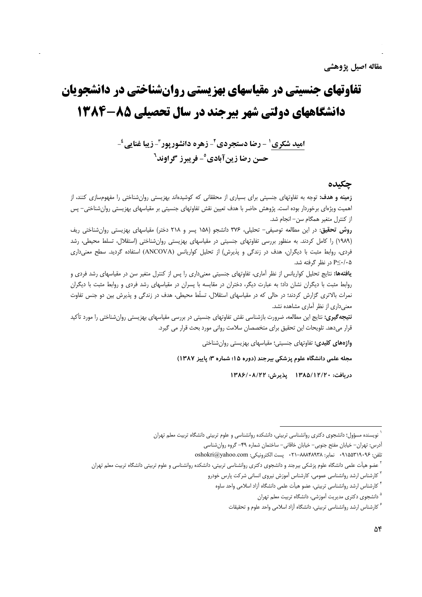# تفاوتهای جنسیتی در مقیاسهای بهزیستی روانشناختی در دانشجویان دانشگاههای دولتی شهر بیرجند در سال تحصیلی ۸۵-۱۳۸۴

اميد شكري<sup>1</sup> - رضا دستجردي<sup>2</sup>- زهره دانشوريور<sup>2</sup>- زيبا غنايي<sup>2</sup>-حسن رضا زینآبادی°- فریبرز گراوند<sup>7</sup>

## حكىدە

**زمینه و هدف:** توجه به تفاوتهای جنسیتی برای بسیاری از محققانی که کوشیدهاند بهزیستی روانشناختی را مفهومسازی کنند، از اهمیت ویژهای برخوردار بوده است. پژوهش حاضر با هدف تعیین نقش تفاوتهای جنسیتی بر مقیاسهای بهزیستی روان شناختی– پس از كنترل متغير همگام سن- انجام شد.

روش تحقیق: در این مطالعه توصیفی- تحلیلی، ۳۷۶ دانشجو (۱۵۸ پسر و ۲۱۸ دختر) مقیاسهای بهزیستی روان شناختی ریف (١٩٨٩) را كامل كردند. به منظور بررسي تفاوتهاى جنسيتي در مقياسهاى بهزيستي روانشناختي (استقلال، تسلط محيطي، رشد فردی، روابط مثبت با دیگران، هدف در زندگی و پذیرش) از تحلیل کواریانس (ANCOVA) استفاده گردید. سطح معنی داری &∙/∙≥P در نظر گرفته شد.

**یافتهها:** نتایج تحلیل کواریانس از نظر آماری، تفاوتهای جنسیتی معنیداری را پس از کنترل متغیر سن در مقیاسهای رشد فردی و روابط مثبت با دیگران نشان داد؛ به عبارت دیگر، دختران در مقایسه با پسران در مقیاسهای رشد فردی و روابط مثبت با دیگران نمرات بالاتری گزارش کردند؛ در حالی که در مقیاسهای استقلال، تسلّط محیطی، هدف در زندگی و پذیرش بین دو جنس تفاوت معنی داری از نظر آماری مشاهده نشد.

**نتیجه گیری:** نتایج این مطالعه، ضرورت بازشناسی نقش تفاوتهای جنسیتی در بررسی مقیاسهای بهزیستی روانشناختی را مورد تأکید قرار میدهد. تلویحات این تحقیق برای متخصصان سلامت روانی مورد بحث قرار می گیرد.

واژههای کلیدی: تفاوتهای جنسیتی؛ مقیاسهای بهزیستی روانشناختی

مجله علمی دانشگاه علوم پزشکی بیرجند (دوره ۱۵؛ شماره ۳؛ پاییز ۱۳۸۷)

دريافت: ١٣٨٥/١٢/٢٠ يذيرش: ١٣٨۶/٠٨/٢٢

<sup>&</sup>lt;sup>۱</sup> نویسنده مسؤول؛ دانشجوی دکتری روانشناسی تربیتی، دانشکده روانشناسی و علوم تربیتی دانشگاه تربیت معلم تهران

أدرس: تهران- خیابان مفتح جنوبی- خیابان خاقانی- ساختمان شماره ۴۹- گروه روانشناسی

تلفن: ٠٩١٥۵٣١٩٠٩۶ نمابر: ٨٨٨۴٨٩٣٨-٢١٠ پست الكترونيكي: oshokri@yahoo.com

<sup>&</sup>lt;sup>7</sup> عضو هیأت علمی دانشگاه علوم پزشکی بیرجند و دانشجوی دکتری روانشناسی تربیتی، دانشکده روانشناسی و علوم تربیتی دانشگاه تربیت معلم تهران

<sup>&</sup>lt;sup>۳</sup> کارشناس ارشد روانشناسی عمومی، کارشناس آموزش نیروی انسانی شرکت پارس خودرو

<sup>&</sup>lt;sup>۴</sup> کارشناس ارشد روانشناسی تربیتی، عضو هیأت علمی دانشگاه آزاد اسلامی واحد ساوه

<sup>&</sup>lt;sup>۵</sup> دانشجوی دکتری مدیریت آموزشی، دانشگاه تربیت معلم تهران

<sup>&</sup>lt;sup>ع</sup> كارشناس ارشد روانشناسي تربيتي، دانشگاه آزاد اسلامي واحد علوم و تحقيقات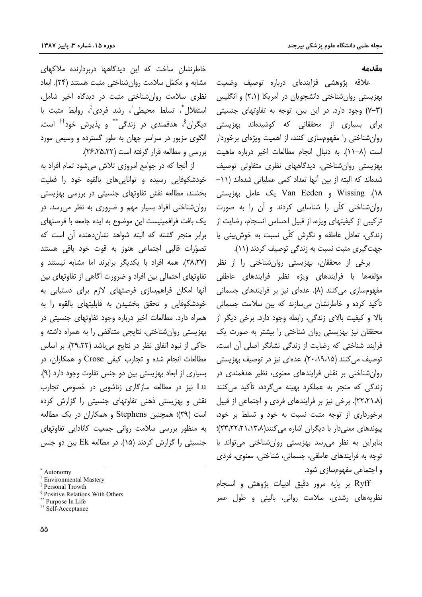مقدمه

علاقه پژوهشی فزایندهای درباره توصیف وضعیت بهزیستی روان شناختی دانشجویان در آمریکا (۲،۱) و انگلیس (۳–۷) وجود دارد. در این بین، توجه به تفاوتهای جنسیتی برای بسیاری از محققانی که کوشیدهاند بهزیستی روان شناختی را مفهومسازی کنند، از اهمیت ویژهای برخوردار است (٨–١١). به دنبال انجام مطالعات اخير درباره ماهيت بھزیستی روانِشناختی، دیدگاههای نظری متفاوتی توصیف شدهاند که البته از بین آنها تعداد کمی عملیاتی شدهاند (١١-۱۸). Wissing و Van Eeden یک عامل بهزیستی روان شناختی کلّی را شناسایی کردند و آن را به صورت ترکیبی از کیفیتهای ویژه، از قبیل احساس انسجام، رضایت از زندگی، تعادل عاطفه و نگرش کلّی نسبت به خوش,بینی یا جهت گیری مثبت نسبت به زندگی توصیف کردند (۱۱).

برخی از محققان، بھزیستی روانشناختی را از نظر مؤلفهها يا فرايندهاي ويژه نظير فرايندهاي عاطفي مفهومسازی می کنند (۸). عدمای نیز بر فرایندهای جسمانی تأكيد كرده و خاطرنشان مىسازند كه بين سلامت جسمانى بالا و کیفیت بالای زندگی، رابطه وجود دارد. برخی دیگر از محققان نیز بھزیستی روان شناختی را بیشتر به صورت یک فرایند شناختی که رضایت از زندگی نشانگر اصلی آن است، توصیف می کنند (۲۰،۱۹،۱۵). عدهای نیز در توصیف بهزیستی روان شناختی بر نقش فرایندهای معنوی، نظیر هدفمندی در زندگی که منجر به عملکرد بهینه میگردد، تأکید میکنند (۲۲،۲۱،۸). برخی نیز بر فرایندهای فردی و اجتماعی از قبیل برخورداری از توجه مثبت نسبت به خود و تسلط بر خود، پیوندهای معنی دار با دیگران اشاره می کنند(۱۳،۲۲،۲۲،۲۲،۲)؛ بنابراین به نظر می رسد بهزیستی روانشناختی می تواند با توجه به فرایندهای عاطفی، جسمانی، شناختی، معنوی، فردی و اجتماعی مفهومسازی شود.

Ryff بر پایه مرور دقیق ادبیات پژوهش و انسجام نظریههای رشدی، سلامت روانی، بالینی و طول عمر

خاطرنشان ساخت که این دیدگاهها دربردارنده ملاکهای مشابه و مكمّل سلامت روان شناختی مثبت هستند (۲۴). ابعاد نظری سلامت روان شناختی مثبت در دیدگاه اخیر شامل، استقلال ٌ، تسلط محيطي'ً، رشد فردي ٌ، روابط مثبت با دیگران<sup>§</sup>، هدفمندی در زندگی<sup>\*\*</sup> و پذیرش خود<sup>††</sup> است. الگوی مزبور در سراسر جهان به طور گسترده و وسیعی مورد بررسي و مطالعه قرار گرفته است (٢۶،٢۵،٢٢).

از آنجا که در جوامع امروزی تلاش میشود تمام افراد به خودشکوفایی رسیده و تواناییهای بالقوه خود را فعلیت بخشند، مطالعه نقش تفاوتهای جنسیتی در بررسی بهزیستی روان شناختی افراد بسیار مهم و ضروری به نظر می رسد. در یک بافت فرافمینیست این موضوع به ایده جامعه با فرصتهای برابر منجر گشته که البته شواهد نشان دهنده آن است که تصوّرات قالبی اجتماعی هنوز به قوت خود باقی هستند (٢٨،٢٧). همه افراد با یکدیگر برابرند اما مشابه نیستند و تفاوتهای احتمالی بین افراد و ضرورت آگاهی از تفاوتهای بین أنها امكان فراهمسازى فرصتهاى لازم براى دستيابى به خودشکوفایی و تحقق بخشیدن به قابلیتهای بالقوه را به همراه دارد. مطالعات اخیر درباره وجود تفاوتهای جنسیتی در بهزیستی روان شناختی، نتایجی متناقض را به همراه داشته و حاکی از نبود اتفاق نظر در نتایج می باشد (۲۹،۲۲). بر اساس مطالعات انجام شده و تجارب کیفی Crose و همکاران، در بسیاری از ابعاد بهزیستی بین دو جنس تفاوت وجود دارد (۹). Lu نیز در مطالعه سازگاری زناشویی در خصوص تجارب نقش و بهزیستی ذهنی تفاوتهای جنسیتی را گزارش کرده است (٢٩): همچنین Stephens و همکاران در یک مطالعه به منظور بررسی سلامت روانی جمعیت کانادایی تفاوتهای جنسیتی را گزارش کردند (۱۵). در مطالعه Ek بین دو جنس

<sup>§</sup> Positive Relations With Others

 $*$  Autonomy

<sup>&</sup>lt;sup>†</sup> Environmental Mastery

<sup>&</sup>lt;sup>‡</sup> Personal Trowth

<sup>\*\*</sup> Purpose In Life

<sup>&</sup>lt;sup>††</sup> Self-Acceptance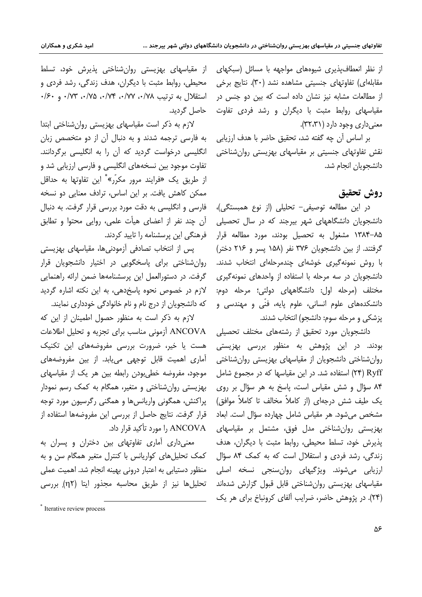از نظر انعطاف پذیری شیوههای مواجهه با مسائل (سبکهای مقابلهای) تفاوتهای جنسیتی مشاهده نشد (۳۰). نتایج برخی از مطالعات مشابه نیز نشان داده است که بین دو جنس در مقیاسهای روابط مثبت با دیگران و رشد فردی تفاوت معنی داری وجود دارد (۳۲،۳۱).

بر اساس آن چه گفته شد، تحقیق حاضر با هدف ارزیابی نقش تفاوتهای جنسیتی بر مقیاسهای بهزیستی روانشناختی دانشجويان انجام شد.

## روش تحقيق

در این مطالعه توصیفی– تحلیلی (از نوع همبستگی)، دانشجویان دانشگاههای شهر بیرجند که در سال تحصیلی ۸۵–۱۳۸۴ مشغول به تحصیل بودند، مورد مطالعه قرار گرفتند. از بین دانشجویان ۳۷۶ نفر (۱۵۸ پسر و ۲۱۶ دختر) با روش نمونهگیری خوشهای چندمرحلهای انتخاب شدند. دانشجویان در سه مرحله با استفاده از واحدهای نمونهگیری مختلف (مرحله اول: دانشگاههای دولتی؛ مرحله دوم: دانشکدههای علوم انسانی، علوم پایه، فنّی و مهندسی و يزشكي و مرحله سوم: دانشجو) انتخاب شدند.

دانشجویان مورد تحقیق از رشتههای مختلف تحصیلی بودند. در این پژوهش به منظور بررسی بهزیستی روان شناختی دانشجویان از مقیاسهای بهزیستی روان شناختی Ryff (۲۴) استفاده شد. در این مقیاسها که در مجموع شامل ۸۴ سؤال و شش مقیاس است، پاسخ به هر سؤال بر روی یک طیف شش درجهای (از کاملاً مخالف تا کاملاً موافق) مشخص می شود. هر مقیاس شامل چهارده سؤال است. ابعاد بھزیستی روانِشناختی مدل فوق، مشتمل بر مقیاسهای يذيرش خود، تسلط محيطي، روابط مثبت با ديگران، هدف زندگی، رشد فردی و استقلال است که به کمک ۸۴ سؤال ارزيابي مي شوند. ويژگيهاي روان سنجي نسخه اصلي مقیاسهای بهزیستی روانشناختی قابل قبول گزارش شدهاند (۲۴). در پژوهش حاضر، ضرایب آلفای کرونباخ برای هر یک

از مقیاسهای بهزیستی روانشناختی پذیرش خود، تسلط محیطی، روابط مثبت با دیگران، هدف زندگی، رشد فردی و استقلال به ترتیب ۰/۷۸، ۰/۷۲، ۰/۷۴، ۰/۷۵، ۰/۲۳، و ۰/۶۰ حاصل گردید.

لازم به ذکر است مقیاسهای بهزیستی روان شناختی ابتدا به فارسی ترجمه شدند و به دنبال آن از دو متخصص زبان انگلیسی درخواست گردید که آن را به انگلیسی برگردانند. تفاوت موجود بین نسخههای انگلیسی و فارسی ارزیابی شد و از طریق یک «فرایند مرور مکرّر»<sup>\*</sup> این تفاوتها به حداقل ممکن کاهش یافت. بر این اساس، ترادف معنایی دو نسخه فارسی و انگلیسی به دقت مورد بررسی قرار گرفت. به دنبال آن چند نفر از اعضای هیأت علمی، روایی محتوا و تطابق فرهنگی این پرسشنامه را تایید کردند.

پس از انتخاب تصادفی آزمودنیها، مقیاسهای بهزیستی روان شناختی برای پاسخگویی در اختیار دانشجویان قرار گرفت. در دستورالعمل این پرسشنامهها ضمن ارائه راهنمایی لازم در خصوص نحوه یاسخدهی، به این نکته اشاره گردید که دانشجویان از درج نام و نام خانوادگی خودداری نمایند.

لازم به ذکر است به منظور حصول اطمینان از این که ANCOVA آزمونی مناسب برای تجزیه و تحلیل اطلاعات هست یا خیر، ضرورت بررسی مفروضههای این تکنیک آماری اهمیت قابل توجهی می یابد. از بین مفروضههای موجود، مفروضه خطی بودن رابطه بین هر یک از مقیاسهای بهزیستی روان شناختی و متغیر، همگام به کمک رسم نمودار یراکنش، همگونی واریانسها و همگنی رگرسیون مورد توجه قرار گرفت. نتایج حاصل از بررسی این مفروضهها استفاده از ,ANCOVA را مورد تأكيد قرار داد.

معنی داری آماری تفاوتهای بین دختران و پسران به كمك تحليل هاى كواريانس با كنترل متغير همگام سن و به منظور دستیابی به اعتبار درونی بهینه انجام شد. اهمیت عملی تحلیلها نیز از طریق محاسبه مجذور ایتا (η٢) بررسی

<sup>\*</sup> Iterative review process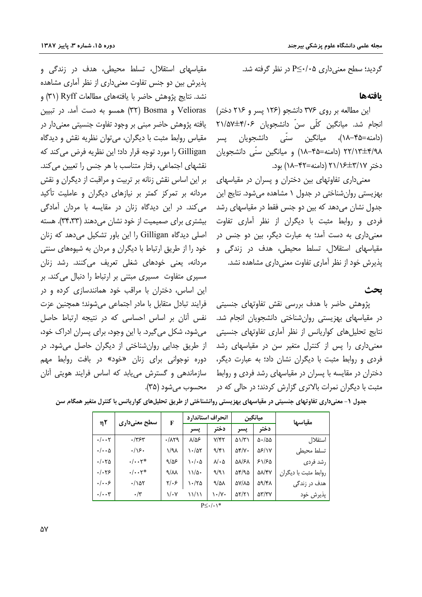مقیاسهای استقلال، تسلط محیطی، هدف در زندگی و پذیرش بین دو جنس تفاوت معنیداری از نظر آماری مشاهده نشد. نتايج پژوهش حاضر با يافتههاي مطالعات Ryff (٣١) و Velioras و Bosma) همسو به دست آمد. در تبيين یافته پژوهش حاضر مبنی بر وجود تفاوت جنسیتی معنی دار در مقياس روابط مثبت با ديگران، مي توان نظريه نقش و ديدگاه Gilligan را مورد توجه قرار داد؛ این نظریه فرض می کند که نقشهای اجتماعی، رفتار متناسب با هر جنس را تعیین می کند. بر این اساس نقش زنانه بر تربیت و مراقبت از دیگران و نقش مردانه بر تمرکز کمتر بر نیازهای دیگران و عاملیت تأکید می کند. در این دیدگاه زنان در مقایسه با مردان آمادگی بیشتری برای صمیمیت از خود نشان می دهند (۳۴٬۳۳). هسته اصلی دیدگاه Gilligan را این باور تشکیل می دهد که زنان خود را از طریق ارتباط با دیگران و مردان به شیوههای سنتی مردانه، یعنی خودهای شغلی تعریف میکنند. رشد زنان مسیری متفاوت مسیری مبتنی بر ارتباط را دنبال میکند. بر این اساس، دختران با مراقب خود همانندسازی کرده و در فرایند تبادل متقابل با مادر اجتماعی میشوند؛ همچنین عزت نفس آنان بر اساس احساسی که در نتیجه ارتباط حاصل میشود، شکل میگیرد. با این وجود، برای پسران ادراک خود، از طریق جدایی روان شناختی از دیگران حاصل می شود. در دوره نوجواني براي زنان «خود» در بافت روابط مهم سازماندهی و گسترش می یابد که اساس فرایند هویتی آنان گردید؛ سطح معنی داری P≤٠/٠۵ در نظر گرفته شد.

### بافتهها

این مطالعه بر روی ۳۷۶ دانشجو (۱۲۶ پسر و ۲۱۶ دختر) انجام شد. میانگین کلّی سنّ دانشجویان ۴/۰۶±۲۱/۵۷ (دامنه=۱۸–۱۸)، میانگین سنّی دانشجویان پسر ۲۲/۱۳±۴/۹۸ (دامنه=۴۵–۱۸) و میانگین سنّی دانشجویان دختر ۲۱/۱۶±۲۱/۱۶ (دامنه=۲۲+۱۸) بود.

معنیداری تفاوتهای بین دختران و پسران در مقیاسهای بهزیستی روانشناختی در جدول ۱ مشاهده میشود. نتایج این جدول نشان می دهد که بین دو جنس فقط در مقیاسهای رشد فردی و روابط مثبت با دیگران از نظر آماری تفاوت معنی داری به دست آمد؛ به عبارت دیگر، بین دو جنس در مقیاسهای استقلال، تسلط محیطی، هدف در زندگی و پذیرش خود از نظر آماری تفاوت معنیداری مشاهده نشد.

ىحث

پژوهش حاضر با هدف بررسی نقش تفاوتهای جنسیتی در مقیاسها*ی* بهزیستی روانشناختی دانشجویان انجام شد. نتایج تحلیل های کواریانس از نظر آماری تفاوتهای جنسیتی معنیداری را پس از کنترل متغیر سن در مقیاسهای رشد فردی و روابط مثبت با دیگران نشان داد؛ به عبارت دیگر، دختران در مقایسه با پسران در مقیاسهای رشد فردی و روابط مثبت با دیگران نمرات بالاتری گزارش کردند؛ در حالی که در مصحسوب می شود (۳۵).

| η٢                       | سطح معنیداری          | F                     | انحراف استاندارد                  |                                   | ميانگين              |                              | مقياسها              |
|--------------------------|-----------------------|-----------------------|-----------------------------------|-----------------------------------|----------------------|------------------------------|----------------------|
|                          |                       |                       | يسر                               | دختر                              | پسر                  | دختر                         |                      |
| $\cdot/\cdot\cdot$ ۲     | ۰/۳۶۳                 | .71                   | ⊀۵۸                               | $Y/\mathfrak{f} \mathfrak{r}$     | $\Delta \frac{1}{1}$ | $\Delta$ - / $\Delta \Delta$ | استقلال              |
| $\cdot/\cdot\cdot\Delta$ | .419.                 | ۱/۹۸                  | $\lambda \cdot / \Delta \Upsilon$ | 9/51                              | $\Delta f/V$ .       | 58/17                        | تسلط محيطى           |
| $\cdot/\cdot\tau$ ۵      | $\cdot/\cdot\cdot$ ۲* | 9/25                  | ۰۱۰۵                              | $\lambda/\cdot \Delta$            | <b>AN/SA</b>         | ۶۱/۶۵                        | رشد فردى             |
| .1.79                    | $\cdot/\cdot\cdot$ ۲* | $\sqrt{2}$            | ۱۱/۵۰                             | 9/9)                              | 58/95                | $\Delta\lambda$ /۴۷          | روابط مثبت با دیگران |
| .  . .5                  | $\cdot/\Delta\tau$    | ۲۱۰۶                  | ۱۰/۲۵                             | 9/21                              | AY/AA                | 59/۴۸                        | هدف در زندگ <i>ی</i> |
| $\cdot/\cdot\cdot$ ۳     | $\cdot$ /۳            | $\sqrt{\cdot \gamma}$ | ۱۱/۱۱                             | $\mathcal{N} \cdot / \mathcal{N}$ | ۵۲/۲۱                | <b>a۳/۳۷</b>                 | پذيرش خود            |

جدول ۱- معنیداری تفاوتهای جنسیتی در مقیاسهای بهزیستی روانشناختی از طریق تحلیلهای کواریانس با کنترل متغیر همگام سن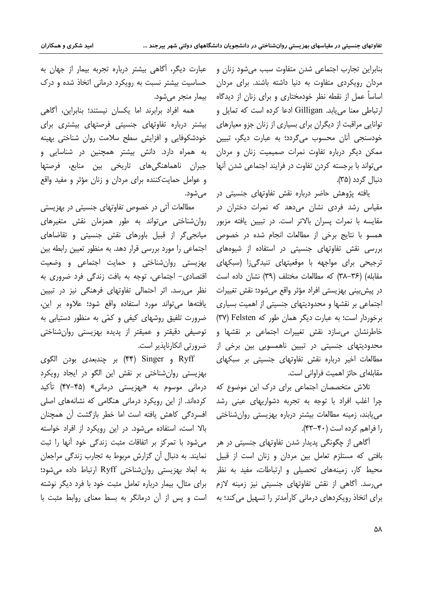بنابراين تجارب اجتماعي شدن متفاوت سبب مي شود زنان و مردان رویکردی متفاوت به دنیا داشته باشند. برای مردان اساساً عمل از نقطه نظر خودمختاری و برای زنان از دیدگاه ارتباطی معنا می یابد. Gilligan ادعا کرده است که تمایل و توانایی مراقبت از دیگران برای بسیاری از زنان جزو معیارهای خودسنجي آنان محسوب مي¢ردد؛ به عبارت ديگر، تبيين ممکن دیگر درباره تفاوت نمرات صمیمیت زنان و مردان می تواند با برجسته کردن تفاوت در فرایند اجتماعی شدن آنها دنبال گردد (۳۵).

یافته پژوهش حاضر درباره نقش تفاوتهای جنسیتی در مقیاس رشد فردی نشان می،دهد که نمرات دختران در مقایسه با نمرات پسران بالاتر است. در تبیین یافته مزبور همسو با نتایج برخی از مطالعات انجام شده در خصوص بررسی نقش تفاوتهای جنسیتی در استفاده از شیوههای ترجیحی برای مواجهه با موقعیتهای تنیدگی;ا (سبکهای مقابله) (۳۶–۳۸) که مطالعات مختلف (۳۹) نشان داده است در پيش،بيني بهزيستي افراد مؤثر واقع مي شود؛ نقش تغييرات اجتماعی بر نقشها و محدودیتهای جنسیتی از اهمیت بسیاری برخوردار است؛ به عبارت دیگر همان طور که Felsten (۳۷) خاطرنشان می،سازد نقش تغییرات اجتماعی بر نقشها و محدودیتهای جنسیتی در تبیین ناهمسویی بین برخی از مطالعات اخیر درباره نقش تفاوتهای جنسیتی بر سبکهای مقابلهای حائز اهمیت فراوانی است.

تلاش متخصصان اجتماعی برای درک این موضوع که چرا اغلب افراد با توجه به تجربه دشواریهای عینی رشد مییابند، زمینه مطالعات بیشتر درباره بهزیستی روانشناختی را فراهم كرده است (۴۰-۴۳).

۔<br>آگاهی از چگونگی پدیدار شدن تفاوتهای جنسیتی در هر بافتی که مستلزم تعامل بین مردان و زنان است از قبیل محیط کار، زمینههای تحصیلی و ارتباطات، مفید به نظر می,رسد. آگاهی از نقش تفاوتهای جنسیتی نیز زمینه لازم برای اتخاذ رویکردهای درمانی کارآمدتر را تسهیل می کند؛ به

عبارت دیگر، آگاهی بیشتر درباره تجربه بیمار از جهان به حساسیت بیشتر نسبت به رویکرد درمانی اتخاذ شده و درک بیمار منجر مے شود.

همه افراد برابرند اما يكسان نيستند؛ بنابراين، آگاهي بیشتر درباره تفاوتهای جنسیتی فرصتهای بیشتری برای خودشکوفایی و افزایش سطح سلامت روان شناختی بهینه به همراه دارد. دانش بیشتر همچنین در شناسایی و جبران ناهماهنگیهای تاریخی بین منابع، فرصتها و عوامل حمایت کننده برای مردان و زنان مؤثر و مفید واقع می شود.

مطالعات آتی در خصوص تفاوتهای جنسیتی در بهزیستی روان شناختی می تواند به طور همزمان نقش متغیرهای میانجی گر از قبیل باورهای نقش جنسیتی و تقاضاهای اجتماعی را مورد بررسی قرار دهد. به منظور تعیین رابطه بین بهزيستي روان شناختي وحمايت اجتماعي و وضعيت اقتصادی- اجتماعی، توجه به بافت زندگی فرد ضروری به نظر می رسد. اثر احتمالی تفاوتهای فرهنگی نیز در تبیین يافتهها مى تواند مورد استفاده واقع شود؛ علاوه بر اين، ضرورت تلفیق روشهای کیفی و کمّی به منظور دستیابی به توصيفي دقيقتر و عميقتر از يديده بهزيستي روانشناختي ضرورتي انكارنايذير است.

Ryff و Singer بر چندبعدی بودن الگوی (۴۴ بهزیستی روانشناختی بر نقش این الگو در ایجاد رویکرد درمانی موسوم به «بهزیستی درمانی» (۴۵–۴۷) تأکید کردهاند. از این رویکرد درمانی هنگامی که نشانههای اصلی افسردگی کاهش یافته است اما خطر بازگشت آن همچنان بالا است، استفاده می شود. در این رویکرد از افراد خواسته می شود با تمرکز بر اتفاقات مثبت زندگی خود آنها را ثبت نمایند. به دنبال آن گزارش مربوط به تجارب زندگی مراجعان به ابعاد بهزیستی روانشناختی Ryff ارتباط داده می شود؛ برای مثال، بیمار درباره تعامل مثبت خود با فرد دیگر نوشته است و پس از آن درمانگر به بسط معنای روابط مثبت با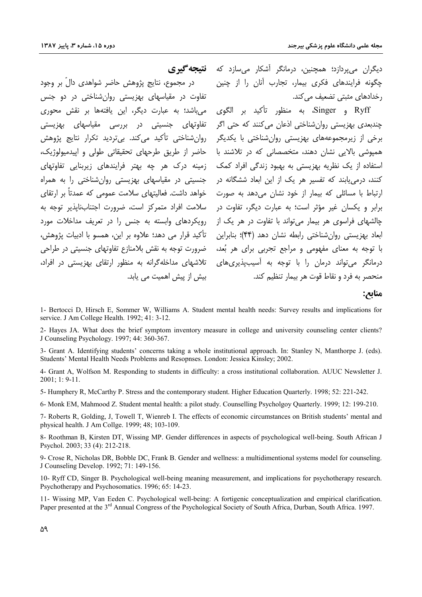در مجموع، نتایج پژوهش حاضر شواهدی دالّ بر وجود

تفاوت در مقیاسهای بهزیستی روانشناختی در دو جنس

می باشد؛ به عبارت دیگر، این یافتهها بر نقش محوری

تفاوتهای جنسیتی در بررسی مقیاسهای بهزیستی

حاضر از طريق طرحهاي تحقيقاتي طولي و ايپدميولوژيک،

جنسیتی در مقیاسهای بهزیستی روانشناختی را به همراه خواهد داشت. فعالیتهای سلامت عمومی که عمدتاً بر ارتقای

سلامت افراد متمرکز است، ضرورت اجتنابناپذیر توجه به

رویکردهای وابسته به جنس را در تعریف مداخلات مورد

تأكيد قرار مي دهد؛ علاوه بر اين، همسو با ادبيات پژوهش،

ِ ضرورت توجه به نقش بلامنازع تفاوتهای جنسیتی در طراحی

تلاشهای مداخلهگرانه به منظور ارتقای بهزیستی در افراد،

ییش از پیش اهمیت می پاید.

ديگران مي،ردازد؛ همچنين، درمانگر آشکار مي،سازد که **نتيجه گيري** چگونه فرایندهای فکری بیمار، تجارب آنان را از چنین رخدادهای مثبتی تضعیف می کند.

Ryff و Singer، به منظور تأكيد بر الگوى ۔<br>چندبعدی پھزیستی روان شناختی اذعان میںکنند که حتی اگر برخی از زیرمجموعههای بهزیستی روانشناختی با یکدیگر روانشناختی تأکید می کند. بیتردید تکرار نتایج پژوهش همپوشی بالایی نشان دهند، متخصصانی که در تلاشند با استفاده از یک نظریه بهزیستی به بهبود زندگی افراد کمک زمینه درک هر چه بهتر فرایندهای زیربنایی تفاوتهای کنند، درمی یابند که تفسیر هر یک از این ابعاد ششگانه در ارتباط با مسائلی که بیمار از خود نشان میدهد به صورت برابر و یکسان غیر مؤثر است؛ به عبارت دیگر، تفاوت در چالشهای فراسوی هر بیمار می تواند با تفاوت در هر یک از ابعاد بهزیستی روانشناختی رابطه نشان دهد (۴۴)؛ بنابراین با توجه به معنای مفهومی و مراجع تجربی برای هر بُعد، درمانگر می تواند درمان را با توجه به آسیبپذیریِهای منحصر به فرد و نقاط قوت هر بیمار تنظیم کند.

مناىع:

1- Bertocci D, Hirsch E, Sommer W, Williams A. Student mental health needs: Survey results and implications for service. J Am College Health. 1992; 41: 3-12.

2- Hayes JA. What does the brief symptom inventory measure in college and university counseling center clients? J Counseling Psychology. 1997; 44: 360-367.

3- Grant A. Identifying students' concerns taking a whole institutional approach. In: Stanley N, Manthorpe J. (eds). Students' Mental Health Needs Problems and Resopnses. London: Jessica Kinsley; 2002.

4- Grant A, Wolfson M. Responding to students in difficulty: a cross institutional collaboration. AUUC Newsletter J.  $2001:1:9-11.$ 

5- Humphery R, McCarthy P. Stress and the contemporary student. Higher Education Ouarterly. 1998; 52: 221-242.

6- Monk EM, Mahmood Z. Student mental health: a pilot study. Counselling Psycholgoy Quarterly. 1999; 12: 199-210.

7- Roberts R, Golding, J, Towell T, Wienreb I. The effects of economic circumstances on British students' mental and physical health. J Am Collge. 1999; 48; 103-109.

8- Roothman B, Kirsten DT, Wissing MP. Gender differences in aspects of psychological well-being. South African J Psychol. 2003; 33 (4): 212-218.

9- Crose R, Nicholas DR, Bobble DC, Frank B. Gender and wellness: a multidimentional systems model for counseling. J Counseling Develop. 1992; 71: 149-156.

10- Ryff CD, Singer B. Psychological well-being meaning measurement, and implications for psychotherapy research. Psychotherapy and Psychosomatics. 1996; 65: 14-23.

11- Wissing MP, Van Eeden C. Psychological well-being: A fortigenic conceptualization and empirical clarification. Paper presented at the 3<sup>rd</sup> Annual Congress of the Psychological Society of South Africa, Durban, South Africa. 1997.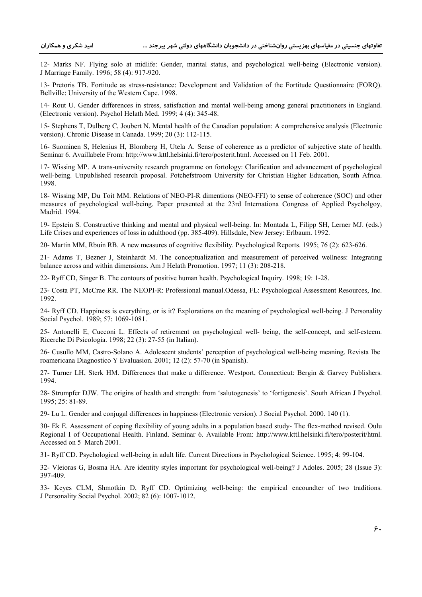12- Marks NF. Flying solo at midlife: Gender, marital status, and psychological well-being (Electronic version). J Marriage Family. 1996; 58 (4): 917-920.

13- Pretoris TB. Fortitude as stress-resistance: Development and Validation of the Fortitude Questionnaire (FORQ). Bellville: University of the Western Cape. 1998.

14- Rout U. Gender differences in stress, satisfaction and mental well-being among general practitioners in England. (Electronic version). Psychol Helath Med. 1999; 4 (4): 345-48.

15- Stephens T, Dulberg C, Joubert N. Mental health of the Canadian population: A comprehensive analysis (Electronic version). Chronic Disease in Canada. 1999; 20 (3): 112-115.

16- Suominen S, Helenius H, Blomberg H, Utela A. Sense of coherence as a predictor of subjective state of health. Seminar 6. Availlabele From: http://www.kttl.helsinki.fi/tero/posterit.html. Accessed on 11 Feb. 2001.

17- Wissing MP. A trans-university research programme on fortology: Clarification and advancement of psychological well-being. Unpublished research proposal. Potchefstroom University for Christian Higher Education, South Africa. 1998.

18- Wissing MP, Du Toit MM. Relations of NEO-PI-R dimentions (NEO-FFI) to sense of coherence (SOC) and other measures of psychological well-being. Paper presented at the 23rd Internationa Congress of Applied Psycholgoy, Madrid. 1994.

19- Epstein S. Constructive thinking and mental and physical well-being. In: Montada L, Filipp SH, Lerner MJ. (eds.) Life Crises and experiences of loss in adulthood (pp. 385-409). Hillsdale, New Jersey: Erlbaum. 1992.

20- Martin MM, Rbuin RB. A new measures of cognitive flexibility. Psychological Reports. 1995; 76 (2): 623-626.

21- Adams T, Bezner J, Steinhardt M. The conceptualization and measurement of perceived wellness: Integrating balance across and within dimensions. Am J Helath Promotion. 1997; 11 (3): 208-218.

22- Ryff CD, Singer B. The contours of positive human health. Psychological Inquiry. 1998; 19: 1-28.

23- Costa PT, McCrae RR. The NEOPI-R: Professional manual.Odessa, FL: Psychological Assessment Resources, Inc. 1992.

24- Ryff CD. Happiness is everything, or is it? Explorations on the meaning of psychological well-being. J Personality Social Psychol. 1989; 57: 1069-1081.

25- Antonelli E, Cucconi L. Effects of retirement on psychological well- being, the self-concept, and self-esteem. Ricerche Di Psicologia. 1998; 22 (3): 27-55 (in Italian).

26- Cusullo MM, Castro-Solano A. Adolescent students' perception of psychological well-being meaning. Revista Ibe roamericana Diagnostico Y Evaluasion. 2001; 12 (2): 57-70 (in Spanish).

27- Turner LH, Sterk HM. Differences that make a difference. Westport, Connecticut: Bergin & Garvey Publishers. 1994.

28- Strumpfer DJW. The origins of health and strength: from 'salutogenesis' to 'fortigenesis'. South African J Psychol. 1995; 25: 81-89.

29- Lu L. Gender and conjugal differences in happiness (Electronic version). J Social Psychol. 2000. 140 (1).

30- Ek E. Assessment of coping flexibility of young adults in a population based study- The flex-method revised. Oulu Regional I of Occupational Health. Finland. Seminar 6. Available From: http://www.kttl.helsinki.fi/tero/posterit/html. Accessed on 5 March 2001.

31- Ryff CD. Psychological well-being in adult life. Current Directions in Psychological Science. 1995; 4: 99-104.

32- Vleioras G, Bosma HA. Are identity styles important for psychological well-being? J Adoles. 2005; 28 (Issue 3): 397-409.

33- Keyes CLM, Shmotkin D, Ryff CD. Optimizing well-being: the empirical encoundter of two traditions. J Personality Social Psychol. 2002; 82 (6): 1007-1012.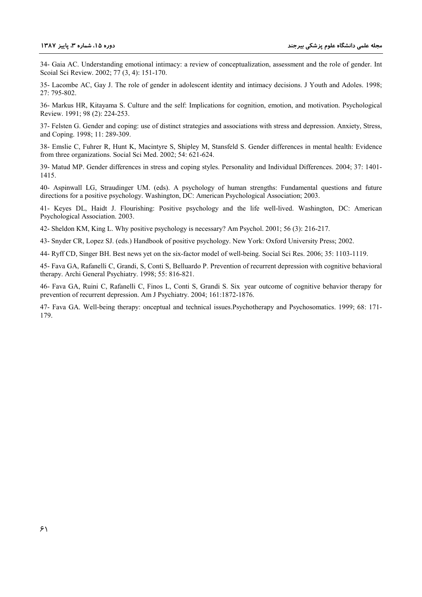34- Gaia AC. Understanding emotional intimacy: a review of conceptualization, assessment and the role of gender. Int Scoial Sci Review. 2002; 77 (3, 4): 151-170.

35- Lacombe AC, Gay J. The role of gender in adolescent identity and intimacy decisions. J Youth and Adoles. 1998; 27: 795-802.

36- Markus HR, Kitayama S. Culture and the self: Implications for cognition, emotion, and motivation. Psychological Review. 1991; 98 (2): 224-253.

37- Felsten G. Gender and coping: use of distinct strategies and associations with stress and depression. Anxiety, Stress, and Coping. 1998; 11: 289-309.

38- Emslie C, Fuhrer R, Hunt K, Macintyre S, Shipley M, Stansfeld S. Gender differences in mental health: Evidence from three organizations. Social Sci Med. 2002: 54: 621-624.

39- Matud MP. Gender differences in stress and coping styles. Personality and Individual Differences. 2004; 37: 1401-1415.

40- Aspinwall LG, Straudinger UM. (eds). A psychology of human strengths: Fundamental questions and future directions for a positive psychology. Washington, DC: American Psychological Association; 2003.

41- Keyes DL, Haidt J. Flourishing: Positive psychology and the life well-lived. Washington, DC: American Psychological Association. 2003.

42- Sheldon KM, King L. Why positive psychology is necessary? Am Psychol. 2001; 56 (3): 216-217.

43- Snyder CR, Lopez SJ, (eds.) Handbook of positive psychology. New York: Oxford University Press; 2002.

44- Ryff CD, Singer BH. Best news yet on the six-factor model of well-being. Social Sci Res. 2006; 35: 1103-1119.

45- Fava GA, Rafanelli C, Grandi, S, Conti S, Belluardo P. Prevention of recurrent depression with cognitive behavioral therapy. Archi General Psychiatry. 1998; 55: 816-821.

46- Fava GA, Ruini C, Rafanelli C, Finos L, Conti S, Grandi S, Six year outcome of cognitive behavior therapy for prevention of recurrent depression. Am J Psychiatry, 2004; 161:1872-1876.

47- Fava GA. Well-being therapy: onceptual and technical issues. Psychotherapy and Psychosomatics. 1999; 68: 171-179.